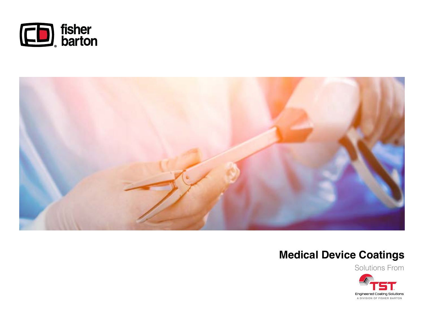



# **Medical Device Coatings**

Solutions From

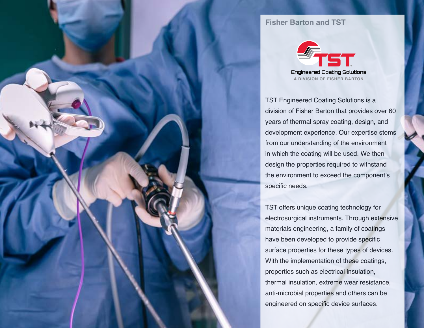## **Fisher Barton and TST**



TST Engineered Coating Solutions is a division of Fisher Barton that provides over 60 years of thermal spray coating, design, and development experience. Our expertise stems from our understanding of the environment in which the coating will be used. We then design the properties required to withstand the environment to exceed the component's specific needs.

TST offers unique coating technology for electrosurgical instruments. Through extensive materials engineering, a family of coatings have been developed to provide specific surface properties for these types of devices. With the implementation of these coatings, properties such as electrical insulation, thermal insulation, extreme wear resistance, anti-microbial properties and others can be engineered on specific device surfaces.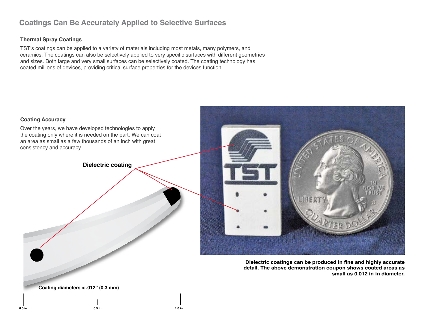## **Coatings Can Be Accurately Applied to Selective Surfaces**

## **Thermal Spray Coatings**

TST's coatings can be applied to a variety of materials including most metals, many polymers, and ceramics. The coatings can also be selectively applied to very specific surfaces with different geometries and sizes. Both large and very small surfaces can be selectively coated. The coating technology has coated millions of devices, providing critical surface properties for the devices function.

#### **Coating Accuracy**

Over the years, we have developed technologies to apply the coating only where it is needed on the part. We can coat an area as small as a few thousands of an inch with great consistency and accuracy.





**Dielectric coatings can be produced in fine and highly accurate detail. The above demonstration coupon shows coated areas as small as 0.012 in in diameter.**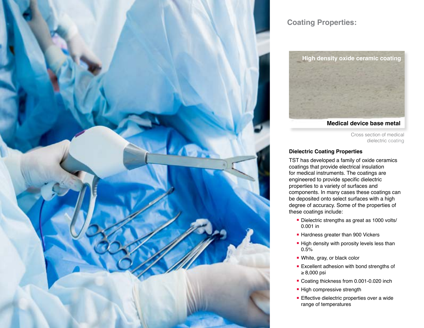

## **Coating Properties:**



**Medical device base metal**

Cross section of medical dielectric coating

## **Dielectric Coating Properties**

TST has developed a family of oxide ceramics coatings that provide electrical insulation for medical instruments. The coatings are engineered to provide specific dielectric properties to a variety of surfaces and components. In many cases these coatings can be deposited onto select surfaces with a high degree of accuracy. Some of the properties of these coatings include:

- Dielectric strengths as great as 1000 volts/ 0.001 in
- **Hardness greater than 900 Vickers**
- $\blacksquare$  High density with porosity levels less than 0.5%
- White, gray, or black color
- **Excellent adhesion with bond strengths of** ≥ 8,000 psi
- Coating thickness from 0.001-0.020 inch
- **High compressive strength**
- **Effective dielectric properties over a wide** range of temperatures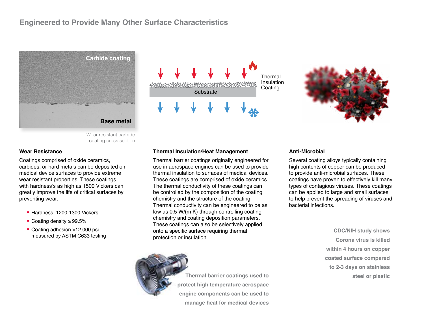## **Engineered to Provide Many Other Surface Characteristics**







Wear resistant carbide coating cross section

#### **Wear Resistance**

Coatings comprised of oxide ceramics, carbides, or hard metals can be deposited on medical device surfaces to provide extreme wear resistant properties. These coatings with hardness's as high as 1500 Vickers can greatly improve the life of critical surfaces by preventing wear.

- Hardness: 1200-1300 Vickers
- Coating density ≥ 99.5%
- Coating adhesion >12,000 psi measured by ASTM C633 testing

#### **Thermal Insulation/Heat Management**

Thermal barrier coatings originally engineered for use in aerospace engines can be used to provide thermal insulation to surfaces of medical devices. These coatings are comprised of oxide ceramics. The thermal conductivity of these coatings can be controlled by the composition of the coating chemistry and the structure of the coating. Thermal conductivity can be engineered to be as low as 0.5 W/(m K) through controlling coating chemistry and coating deposition parameters. These coatings can also be selectively applied onto a specific surface requiring thermal protection or insulation.

**Thermal barrier coatings used to <b>***steel or plastic* and **steel or plastic protect high temperature aerospace engine components can be used to manage heat for medical devices**

#### **Anti-Microbial**

Several coating alloys typically containing high contents of copper can be produced to provide anti-microbial surfaces. These coatings have proven to effectively kill many types of contagious viruses. These coatings can be applied to large and small surfaces to help prevent the spreading of viruses and bacterial infections.

> **CDC/NIH study shows Corona virus is killed within 4 hours on copper coated surface compared to 2-3 days on stainless**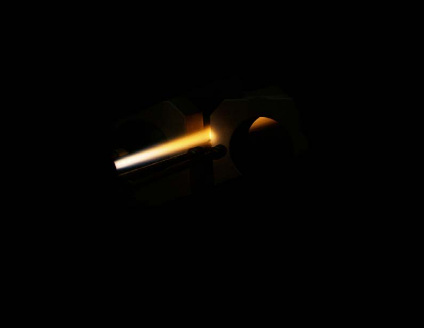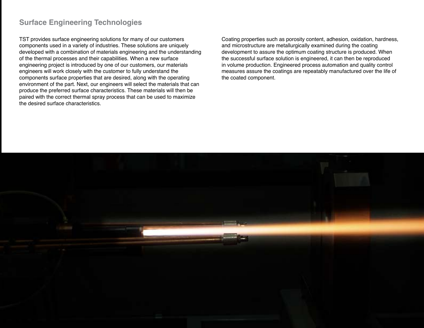## **Surface Engineering Technologies**

TST provides surface engineering solutions for many of our customers components used in a variety of industries. These solutions are uniquely developed with a combination of materials engineering and the understanding of the thermal processes and their capabilities. When a new surface engineering project is introduced by one of our customers, our materials engineers will work closely with the customer to fully understand the components surface properties that are desired, along with the operating environment of the part. Next, our engineers will select the materials that can produce the preferred surface characteristics. These materials will then be paired with the correct thermal spray process that can be used to maximize the desired surface characteristics.

Coating properties such as porosity content, adhesion, oxidation, hardness, and microstructure are metallurgically examined during the coating development to assure the optimum coating structure is produced. When the successful surface solution is engineered, it can then be reproduced in volume production. Engineered process automation and quality control measures assure the coatings are repeatably manufactured over the life of the coated component.